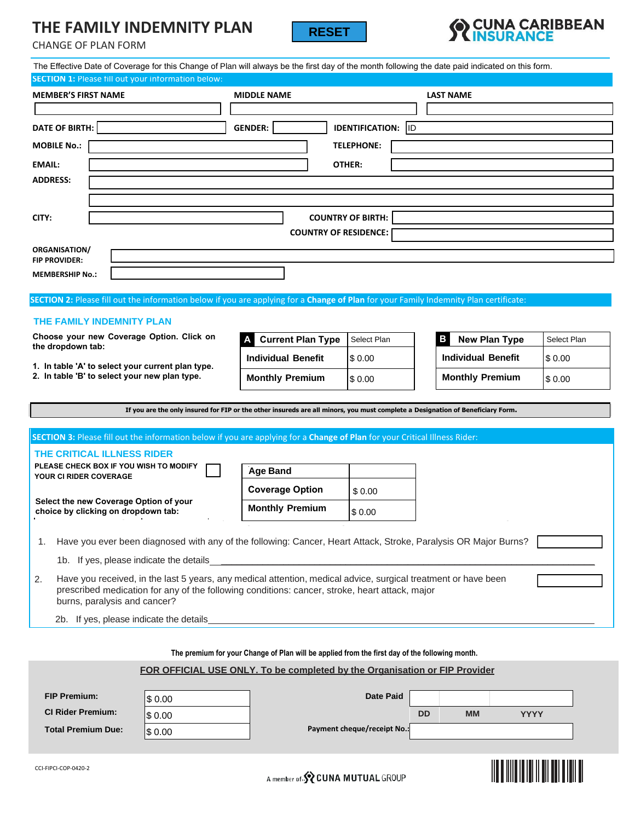# **THE FAMILY INDEMNITY PLAN**





| THE FAMILY INDEMINITY PLAN<br><b>CHANGE OF PLAN FORM</b>                                                                                                                                                                                               | <b>RESET</b>                                                                                   |                                                    | <b>TINSURANCE</b>         |             |  |  |  |  |  |  |
|--------------------------------------------------------------------------------------------------------------------------------------------------------------------------------------------------------------------------------------------------------|------------------------------------------------------------------------------------------------|----------------------------------------------------|---------------------------|-------------|--|--|--|--|--|--|
| The Effective Date of Coverage for this Change of Plan will always be the first day of the month following the date paid indicated on this form.                                                                                                       |                                                                                                |                                                    |                           |             |  |  |  |  |  |  |
| <b>SECTION 1: Please fill out your information below:</b>                                                                                                                                                                                              |                                                                                                |                                                    |                           |             |  |  |  |  |  |  |
| <b>MEMBER'S FIRST NAME</b>                                                                                                                                                                                                                             | <b>MIDDLE NAME</b>                                                                             | <b>LAST NAME</b>                                   |                           |             |  |  |  |  |  |  |
| DATE OF BIRTH:                                                                                                                                                                                                                                         | <b>GENDER:</b>                                                                                 | <b>IDENTIFICATION: ID</b>                          |                           |             |  |  |  |  |  |  |
| <b>MOBILE No.:</b>                                                                                                                                                                                                                                     |                                                                                                | <b>TELEPHONE:</b>                                  |                           |             |  |  |  |  |  |  |
| OTHER:<br><b>EMAIL:</b>                                                                                                                                                                                                                                |                                                                                                |                                                    |                           |             |  |  |  |  |  |  |
| <b>ADDRESS:</b>                                                                                                                                                                                                                                        |                                                                                                |                                                    |                           |             |  |  |  |  |  |  |
|                                                                                                                                                                                                                                                        |                                                                                                |                                                    |                           |             |  |  |  |  |  |  |
| CITY:                                                                                                                                                                                                                                                  |                                                                                                |                                                    |                           |             |  |  |  |  |  |  |
| <b>COUNTRY OF BIRTH:</b><br><b>COUNTRY OF RESIDENCE:</b>                                                                                                                                                                                               |                                                                                                |                                                    |                           |             |  |  |  |  |  |  |
| <b>ORGANISATION/</b>                                                                                                                                                                                                                                   |                                                                                                |                                                    |                           |             |  |  |  |  |  |  |
| <b>FIP PROVIDER:</b><br><b>MEMBERSHIP No.:</b>                                                                                                                                                                                                         |                                                                                                |                                                    |                           |             |  |  |  |  |  |  |
|                                                                                                                                                                                                                                                        |                                                                                                |                                                    |                           |             |  |  |  |  |  |  |
| SECTION 2: Please fill out the information below if you are applying for a Change of Plan for your Family Indemnity Plan certificate:                                                                                                                  |                                                                                                |                                                    |                           |             |  |  |  |  |  |  |
| THE FAMILY INDEMNITY PLAN                                                                                                                                                                                                                              |                                                                                                |                                                    |                           |             |  |  |  |  |  |  |
| Choose your new Coverage Option. Click on<br>the dropdown tab:                                                                                                                                                                                         | <b>Current Plan Type</b>                                                                       | Select Plan                                        | в<br><b>New Plan Type</b> | Select Plan |  |  |  |  |  |  |
| 1. In table 'A' to select your current plan type.                                                                                                                                                                                                      | <b>Individual Benefit</b>                                                                      | \$0.00                                             | <b>Individual Benefit</b> | \$0.00      |  |  |  |  |  |  |
| 2. In table 'B' to select your new plan type.                                                                                                                                                                                                          | <b>Monthly Premium</b>                                                                         | \$0.00                                             | <b>Monthly Premium</b>    | \$0.00      |  |  |  |  |  |  |
| If you are the only insured for FIP or the other insureds are all minors, you must complete a Designation of Beneficiary Form.                                                                                                                         |                                                                                                |                                                    |                           |             |  |  |  |  |  |  |
|                                                                                                                                                                                                                                                        |                                                                                                |                                                    |                           |             |  |  |  |  |  |  |
| SECTION 3: Please fill out the information below if you are applying for a Change of Plan for your Critical Illness Rider:                                                                                                                             |                                                                                                |                                                    |                           |             |  |  |  |  |  |  |
| THE CRITICAL ILLNESS RIDER                                                                                                                                                                                                                             |                                                                                                |                                                    |                           |             |  |  |  |  |  |  |
| PLEASE CHECK BOX IF YOU WISH TO MODIFY<br>YOUR CI RIDER COVERAGE                                                                                                                                                                                       | <b>Age Band</b>                                                                                |                                                    |                           |             |  |  |  |  |  |  |
|                                                                                                                                                                                                                                                        | <b>Coverage Option</b>                                                                         | \$0.00                                             |                           |             |  |  |  |  |  |  |
| Select the new Coverage Option of your<br>choice by clicking on dropdown tab:                                                                                                                                                                          | <b>Monthly Premium</b>                                                                         | \$0.00                                             |                           |             |  |  |  |  |  |  |
| Have you ever been diagnosed with any of the following: Cancer, Heart Attack, Stroke, Paralysis OR Major Burns?<br>1.                                                                                                                                  |                                                                                                |                                                    |                           |             |  |  |  |  |  |  |
| 1b. If yes, please indicate the details                                                                                                                                                                                                                |                                                                                                |                                                    |                           |             |  |  |  |  |  |  |
| Have you received, in the last 5 years, any medical attention, medical advice, surgical treatment or have been<br>2.<br>prescribed medication for any of the following conditions: cancer, stroke, heart attack, major<br>burns, paralysis and cancer? |                                                                                                |                                                    |                           |             |  |  |  |  |  |  |
| 2b. If yes, please indicate the details                                                                                                                                                                                                                |                                                                                                |                                                    |                           |             |  |  |  |  |  |  |
|                                                                                                                                                                                                                                                        |                                                                                                |                                                    |                           |             |  |  |  |  |  |  |
|                                                                                                                                                                                                                                                        | The premium for your Change of Plan will be applied from the first day of the following month. |                                                    |                           |             |  |  |  |  |  |  |
|                                                                                                                                                                                                                                                        | FOR OFFICIAL USE ONLY. To be completed by the Organisation or FIP Provider                     |                                                    |                           |             |  |  |  |  |  |  |
| <b>FIP Premium:</b>                                                                                                                                                                                                                                    |                                                                                                |                                                    |                           |             |  |  |  |  |  |  |
| \$0.00<br><b>CI Rider Premium:</b>                                                                                                                                                                                                                     |                                                                                                | <b>Date Paid</b><br>DD<br><b>MM</b><br><b>YYYY</b> |                           |             |  |  |  |  |  |  |
| \$0.00<br><b>Total Premium Due:</b><br>\$0.00                                                                                                                                                                                                          |                                                                                                | Payment cheque/receipt No.:                        |                           |             |  |  |  |  |  |  |

## **FOR OFFICIAL USE ONLY. To be completed by the Organisation or FIP Provider**

| <b>FIP Premium:</b>       | \$0.00 | <b>Date Paid</b>            |           |           |             |
|---------------------------|--------|-----------------------------|-----------|-----------|-------------|
| <b>CI Rider Premium:</b>  | \$0.00 |                             | <b>DD</b> | <b>MM</b> | <b>YYYY</b> |
| <b>Total Premium Due:</b> | \$0.00 | Payment cheque/receipt No.: |           |           |             |